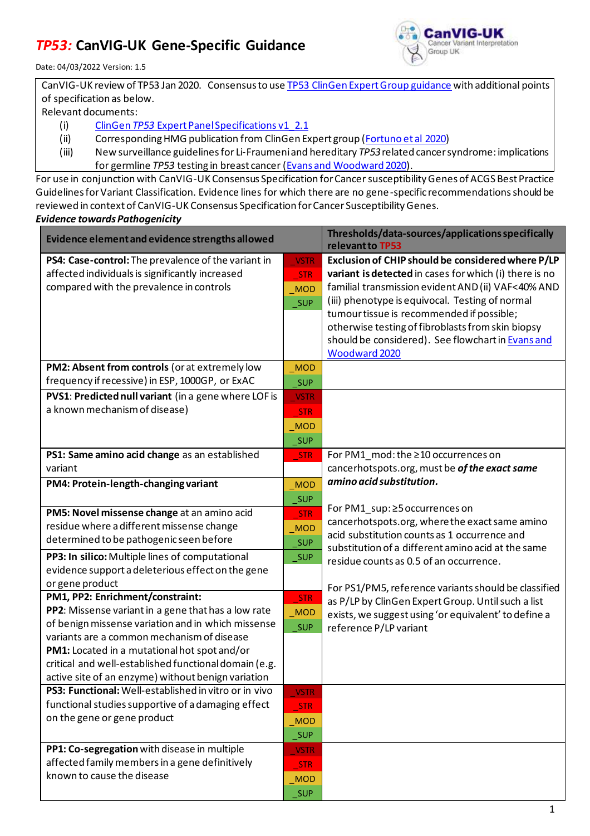## *TP53:* **CanVIG-UK Gene-Specific Guidance**



Date: 04/03/2022 Version: 1.5

CanVIG-UK review of TP53 Jan 2020. Consensus to us[e TP53 ClinGen Expert Group](https://clinicalgenome.org/affiliation/50013/) guidance with additional points of specification as below.

Relevant documents:

- (i) ClinGen *TP53* [Expert Panel Specifications v1\\_2.1](https://clinicalgenome.org/affiliation/50013/)
- (ii) Corresponding HMG publication from ClinGen Expert group (Fortuno [et al 2020\)](https://onlinelibrary.wiley.com/doi/10.1002/humu.24152)
- (iii) New surveillance guidelines for Li‑Fraumeni and hereditary *TP53*related cancer syndrome: implications for germline *TP53* testing in breast cancer [\(Evans and Woodward 2020\)](https://link.springer.com/article/10.1007%2Fs10689-020-00207-z).

For use in conjunction with CanVIG-UK Consensus Specification for Cancer susceptibility Genes of ACGS Best Practice Guidelines for Variant Classification. Evidence lines for which there are no gene-specific recommendationsshould be reviewed in context of CanVIG-UK Consensus Specification for Cancer Susceptibility Genes. *Evidence towards Pathogenicity*

| Evidence element and evidence strengths allowed       |                     | Thresholds/data-sources/applications specifically<br>relevant to TP53                         |  |  |
|-------------------------------------------------------|---------------------|-----------------------------------------------------------------------------------------------|--|--|
| PS4: Case-control: The prevalence of the variant in   | VSTR                | Exclusion of CHIP should be considered where P/LP                                             |  |  |
| affected individuals is significantly increased       | <b>STR</b>          | variant is detected in cases for which (i) there is no                                        |  |  |
| compared with the prevalence in controls              | <b>MOD</b>          | familial transmission evident AND (ii) VAF<40% AND                                            |  |  |
|                                                       | $\_SUP$             | (iii) phenotype is equivocal. Testing of normal                                               |  |  |
|                                                       |                     | tumour tissue is recommended if possible;                                                     |  |  |
|                                                       |                     | otherwise testing of fibroblasts from skin biopsy                                             |  |  |
|                                                       |                     | should be considered). See flowchart in Evans and                                             |  |  |
|                                                       |                     | Woodward 2020                                                                                 |  |  |
| PM2: Absent from controls (or at extremely low        | $_MOD$              |                                                                                               |  |  |
| frequency if recessive) in ESP, 1000GP, or ExAC       | SUP                 |                                                                                               |  |  |
| PVS1: Predicted null variant (in a gene where LOF is  | <b>VSTR</b>         |                                                                                               |  |  |
| a known mechanism of disease)                         | <b>STR</b>          |                                                                                               |  |  |
|                                                       | $_MOD$              |                                                                                               |  |  |
|                                                       | _SUP                |                                                                                               |  |  |
| PS1: Same amino acid change as an established         | <b>STR</b>          | For PM1_mod: the ≥10 occurrences on                                                           |  |  |
| variant                                               |                     | cancerhotspots.org, must be of the exact same                                                 |  |  |
| PM4: Protein-length-changing variant                  | <b>MOD</b>          | amino acid substitution.                                                                      |  |  |
|                                                       | $\sqrt{\text{SUP}}$ |                                                                                               |  |  |
| PM5: Novel missense change at an amino acid           | $\_STR$             | For PM1_sup: ≥5 occurrences on                                                                |  |  |
| residue where a different missense change             | MOD                 | cancerhotspots.org, where the exact same amino                                                |  |  |
| determined to be pathogenic seen before               | $\sqrt{\text{SUP}}$ | acid substitution counts as 1 occurrence and                                                  |  |  |
| PP3: In silico: Multiple lines of computational       | $\_SUP$             | substitution of a different amino acid at the same<br>residue counts as 0.5 of an occurrence. |  |  |
| evidence support a deleterious effect on the gene     |                     |                                                                                               |  |  |
| or gene product                                       |                     | For PS1/PM5, reference variants should be classified                                          |  |  |
| PM1, PP2: Enrichment/constraint:                      | STR                 | as P/LP by ClinGen Expert Group. Until such a list                                            |  |  |
| PP2: Missense variant in a gene that has a low rate   | $\_MOD$             | exists, we suggest using 'or equivalent' to define a                                          |  |  |
| of benign missense variation and in which missense    | _SUP                | reference P/LP variant                                                                        |  |  |
| variants are a common mechanism of disease            |                     |                                                                                               |  |  |
| PM1: Located in a mutational hot spot and/or          |                     |                                                                                               |  |  |
| critical and well-established functional domain (e.g. |                     |                                                                                               |  |  |
| active site of an enzyme) without benign variation    |                     |                                                                                               |  |  |
| PS3: Functional: Well-established in vitro or in vivo | <b>VSTR</b>         |                                                                                               |  |  |
| functional studies supportive of a damaging effect    | <b>STR</b>          |                                                                                               |  |  |
| on the gene or gene product                           | <b>MOD</b>          |                                                                                               |  |  |
|                                                       | <b>SUP</b>          |                                                                                               |  |  |
| PP1: Co-segregation with disease in multiple          | <b>VSTR</b>         |                                                                                               |  |  |
| affected family members in a gene definitively        | <b>STR</b>          |                                                                                               |  |  |
| known to cause the disease                            | <b>MOD</b>          |                                                                                               |  |  |
|                                                       | <b>SUP</b>          |                                                                                               |  |  |